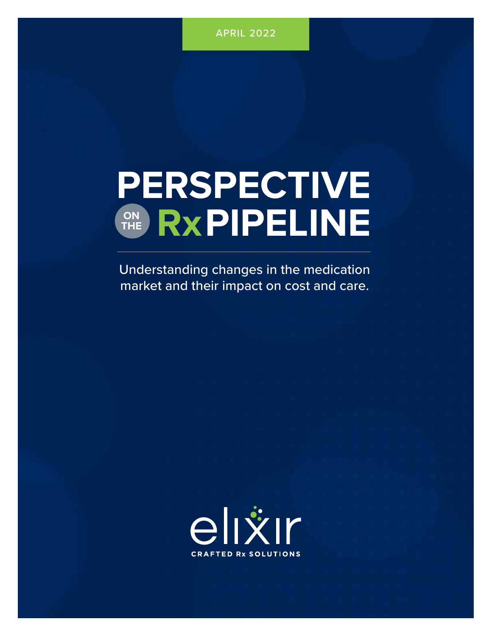# **PERSPECTIVE** ON RXPIPELINE **THE**

Understanding changes in the medication market and their impact on cost and care.

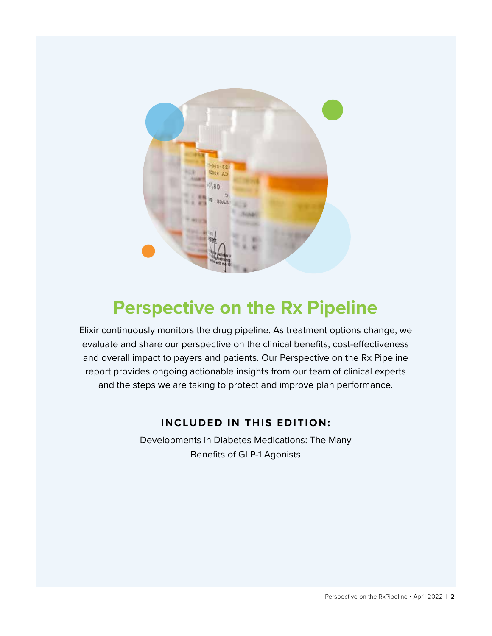

### **Perspective on the Rx Pipeline**

Elixir continuously monitors the drug pipeline. As treatment options change, we evaluate and share our perspective on the clinical benefits, cost-effectiveness and overall impact to payers and patients. Our Perspective on the Rx Pipeline report provides ongoing actionable insights from our team of clinical experts and the steps we are taking to protect and improve plan performance.

### **INCLUDED IN THIS EDITION:**

Developments in Diabetes Medications: The Many Benefits of GLP-1 Agonists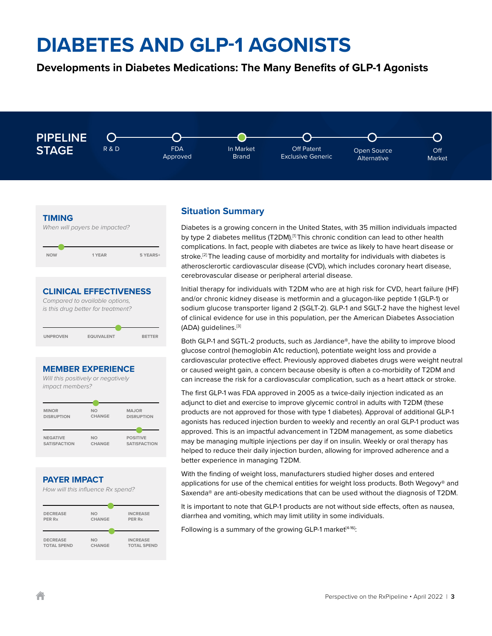### **Developments in Diabetes Medications: The Many Benefits of GLP-1 Agonists**





**CLINICAL EFFECTIVENESS**

*Compared to available options, is this drug better for treatment?* **UNPROVEN EQUIVALENT BETTER**

#### **MEMBER EXPERIENCE**



#### **PAYER IMPACT**





### **Situation Summary**

Diabetes is a growing concern in the United States, with 35 million individuals impacted by type 2 diabetes mellitus (T2DM).[1] This chronic condition can lead to other health complications. In fact, people with diabetes are twice as likely to have heart disease or stroke.<sup>[2]</sup> The leading cause of morbidity and mortality for individuals with diabetes is atherosclerortic cardiovascular disease (CVD), which includes coronary heart disease, cerebrovascular disease or peripheral arterial disease.

Initial therapy for individuals with T2DM who are at high risk for CVD, heart failure (HF) and/or chronic kidney disease is metformin and a glucagon-like peptide 1 (GLP-1) or sodium glucose transporter ligand 2 (SGLT-2). GLP-1 and SGLT-2 have the highest level of clinical evidence for use in this population, per the American Diabetes Association (ADA) guidelines.[3]

Both GLP-1 and SGTL-2 products, such as Jardiance®, have the ability to improve blood glucose control (hemoglobin A1c reduction), potentiate weight loss and provide a cardiovascular protective effect. Previously approved diabetes drugs were weight neutral or caused weight gain, a concern because obesity is often a co-morbidity of T2DM and can increase the risk for a cardiovascular complication, such as a heart attack or stroke.

The first GLP-1 was FDA approved in 2005 as a twice-daily injection indicated as an adjunct to diet and exercise to improve glycemic control in adults with T2DM (these products are not approved for those with type 1 diabetes). Approval of additional GLP-1 agonists has reduced injection burden to weekly and recently an oral GLP-1 product was approved. This is an impactful advancement in T2DM management, as some diabetics may be managing multiple injections per day if on insulin. Weekly or oral therapy has helped to reduce their daily injection burden, allowing for improved adherence and a better experience in managing T2DM.

With the finding of weight loss, manufacturers studied higher doses and entered applications for use of the chemical entities for weight loss products. Both Wegovy® and Saxenda® are anti-obesity medications that can be used without the diagnosis of T2DM.

It is important to note that GLP-1 products are not without side effects, often as nausea, diarrhea and vomiting, which may limit utility in some individuals.

Following is a summary of the growing GLP-1 market<sup>[4-16]</sup>: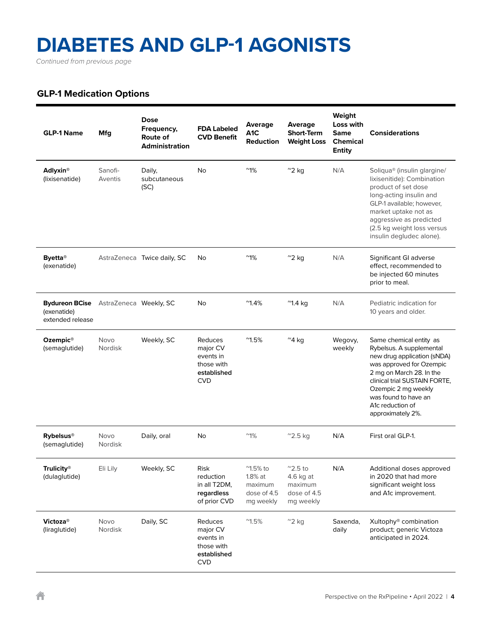*Continued from previous page*

### **GLP-1 Medication Options**

| <b>GLP-1 Name</b>                                        | Mfg                    | <b>Dose</b><br>Frequency,<br>Route of<br><b>Administration</b> | <b>FDA Labeled</b><br><b>CVD Benefit</b>                                    | Average<br>A <sub>1</sub> C<br><b>Reduction</b>                                | Average<br><b>Short-Term</b><br><b>Weight Loss</b>                   | Weight<br>Loss with<br><b>Same</b><br><b>Chemical</b><br><b>Entity</b> | <b>Considerations</b>                                                                                                                                                                                                                                               |
|----------------------------------------------------------|------------------------|----------------------------------------------------------------|-----------------------------------------------------------------------------|--------------------------------------------------------------------------------|----------------------------------------------------------------------|------------------------------------------------------------------------|---------------------------------------------------------------------------------------------------------------------------------------------------------------------------------------------------------------------------------------------------------------------|
| <b>Adlyxin®</b><br>(lixisenatide)                        | Sanofi-<br>Aventis     | Daily,<br>subcutaneous<br>(SC)                                 | <b>No</b>                                                                   | $~^{\circ}1\%$                                                                 | $^{\prime\prime}$ 2 kg                                               | N/A                                                                    | Soliqua <sup>®</sup> (insulin glargine/<br>lixisenitide): Combination<br>product of set dose<br>long-acting insulin and<br>GLP-1 available; however,<br>market uptake not as<br>aggressive as predicted<br>(2.5 kg weight loss versus<br>insulin degludec alone).   |
| <b>Byetta</b> <sup>®</sup><br>(exenatide)                |                        | AstraZeneca Twice daily, SC                                    | No                                                                          | $^{\sim}1\%$                                                                   | $^{\sim}$ 2 kg                                                       | N/A                                                                    | Significant GI adverse<br>effect, recommended to<br>be injected 60 minutes<br>prior to meal.                                                                                                                                                                        |
| <b>Bydureon BCise</b><br>(exenatide)<br>extended release | AstraZeneca Weekly, SC |                                                                | No                                                                          | $^{\sim}1.4\%$                                                                 | $^{\prime\prime}$ 1.4 kg                                             | N/A                                                                    | Pediatric indication for<br>10 years and older.                                                                                                                                                                                                                     |
| Ozempic <sup>®</sup><br>(semaglutide)                    | Novo<br>Nordisk        | Weekly, SC                                                     | Reduces<br>major CV<br>events in<br>those with<br>established<br><b>CVD</b> | $^{\prime\prime}$ 1.5%                                                         | $^{\sim}$ 4 kg                                                       | Wegovy,<br>weekly                                                      | Same chemical entity as<br>Rybelsus. A supplemental<br>new drug application (sNDA)<br>was approved for Ozempic<br>2 mg on March 28. In the<br>clinical trial SUSTAIN FORTE,<br>Ozempic 2 mg weekly<br>was found to have an<br>A1c reduction of<br>approximately 2%. |
| <b>Rybelsus®</b><br>(semaglutide)                        | Novo<br>Nordisk        | Daily, oral                                                    | No                                                                          | $^{\prime\prime}1\%$                                                           | $^{\prime\prime}$ 2.5 kg                                             | N/A                                                                    | First oral GLP-1.                                                                                                                                                                                                                                                   |
| <b>Trulicity®</b><br>(dulaglutide)                       | Eli Lily               | Weekly, SC                                                     | Risk<br>reduction<br>in all T2DM,<br>regardless<br>of prior CVD             | $^{\prime\prime}$ 1.5% to<br>$1.8\%$ at<br>maximum<br>dose of 4.5<br>mg weekly | $^{\sim}$ 2.5 to<br>4.6 kg at<br>maximum<br>dose of 4.5<br>mg weekly | N/A                                                                    | Additional doses approved<br>in 2020 that had more<br>significant weight loss<br>and A1c improvement.                                                                                                                                                               |
| <b>Victoza®</b><br>(liraglutide)                         | Novo<br>Nordisk        | Daily, SC                                                      | Reduces<br>major CV<br>events in<br>those with<br>established<br><b>CVD</b> | $^{\prime\prime}1.5\%$                                                         | $^{\sim}$ 2 kg                                                       | Saxenda,<br>daily                                                      | Xultophy® combination<br>product; generic Victoza<br>anticipated in 2024.                                                                                                                                                                                           |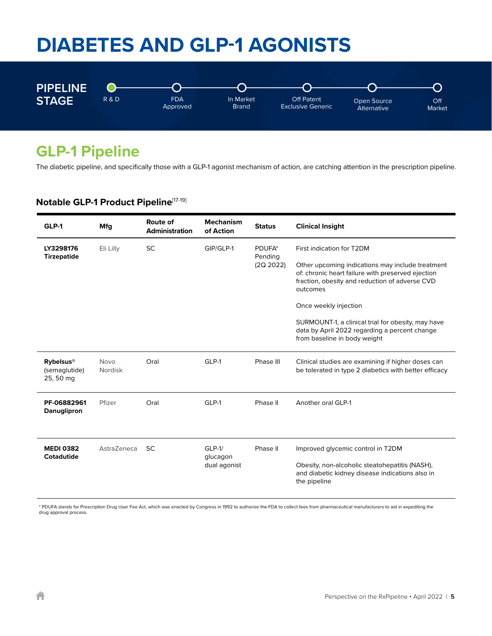

### **GLP-1 Pipeline**

The diabetic pipeline, and specifically those with a GLP-1 agonist mechanism of action, are catching attention in the prescription pipeline.

### **Notable GLP-1 Product Pipeline**[17-19]

| GLP-1                                          | Mfg                                                                            | Route of<br><b>Administration</b> | <b>Mechanism</b><br>of Action                                                                                                                                       | <b>Status</b> | <b>Clinical Insight</b>                                                                                                             |
|------------------------------------------------|--------------------------------------------------------------------------------|-----------------------------------|---------------------------------------------------------------------------------------------------------------------------------------------------------------------|---------------|-------------------------------------------------------------------------------------------------------------------------------------|
| LY3298176                                      | <b>SC</b><br>GIP/GLP-1<br>PDUFA*<br>Eli Lilly<br><b>Tirzepatide</b><br>Pending |                                   |                                                                                                                                                                     |               | First indication for T2DM                                                                                                           |
|                                                |                                                                                | (2Q 2022)                         | Other upcoming indications may include treatment<br>of: chronic heart failure with preserved ejection<br>fraction, obesity and reduction of adverse CVD<br>outcomes |               |                                                                                                                                     |
|                                                |                                                                                |                                   |                                                                                                                                                                     |               | Once weekly injection                                                                                                               |
|                                                |                                                                                |                                   |                                                                                                                                                                     |               | SURMOUNT-1, a clinical trial for obesity, may have<br>data by April 2022 regarding a percent change<br>from baseline in body weight |
| <b>Rybelsus®</b><br>(semaglutide)<br>25, 50 mg | <b>Novo</b><br>Nordisk                                                         | Oral                              | GLP-1                                                                                                                                                               | Phase III     | Clinical studies are examining if higher doses can<br>be tolerated in type 2 diabetics with better efficacy                         |
| PF-06882961<br>Danuglipron                     | Pfizer                                                                         | Oral                              | GLP-1                                                                                                                                                               | Phase II      | Another oral GLP-1                                                                                                                  |
| <b>MEDI 0382</b><br>Cotadutide                 | AstraZeneca                                                                    | <b>SC</b>                         | $GLP-1/$<br>glucagon<br>dual agonist                                                                                                                                | Phase II      | Improved glycemic control in T2DM                                                                                                   |
|                                                |                                                                                |                                   |                                                                                                                                                                     |               | Obesity, non-alcoholic steatohepatitis (NASH),<br>and diabetic kidney disease indications also in<br>the pipeline                   |

\* PDUFA stands for Prescription Drug User Fee Act, which was enacted by Congress in 1992 to authorize the FDA to collect fees from pharmaceutical manufacturers to aid in expediting the drug approval process.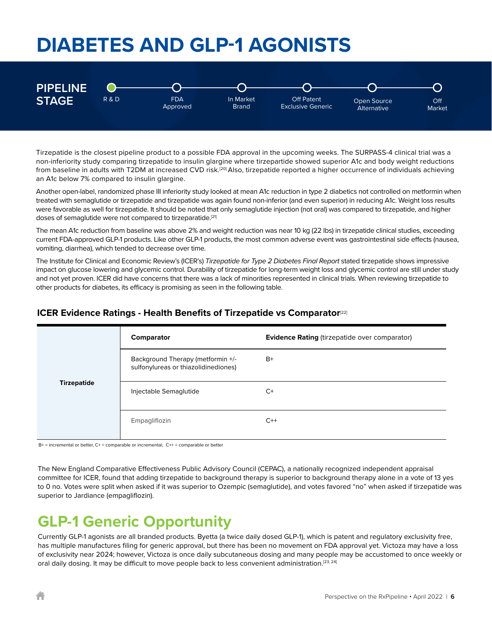

Tirzepatide is the closest pipeline product to a possible FDA approval in the upcoming weeks. The SURPASS-4 clinical trial was a non-inferiority study comparing tirzepatide to insulin glargine where tirzepartide showed superior A1c and body weight reductions from baseline in adults with T2DM at increased CVD risk.[20] Also, tirzepatide reported a higher occurrence of individuals achieving an A1c below 7% compared to insulin glargine.

Another open-label, randomized phase III inferiority study looked at mean A1c reduction in type 2 diabetics not controlled on metformin when treated with semaglutide or tirzepatide and tirzepatide was again found non-inferior (and even superior) in reducing A1c. Weight loss results were favorable as well for tirzepatide. It should be noted that only semaglutide injection (not oral) was compared to tirzepatide, and higher doses of semaglutide were not compared to tirzeparatide.<sup>[21]</sup>

The mean A1c reduction from baseline was above 2% and weight reduction was near 10 kg (22 lbs) in tirzepatide clinical studies, exceeding current FDA-approved GLP-1 products. Like other GLP-1 products, the most common adverse event was gastrointestinal side effects (nausea, vomiting, diarrhea), which tended to decrease over time.

The Institute for Clinical and Economic Review's (ICER's) *Tirzepatide for Type 2 Diabetes Final Report* stated tirzepatide shows impressive impact on glucose lowering and glycemic control. Durability of tirzepatide for long-term weight loss and glycemic control are still under study and not yet proven. ICER did have concerns that there was a lack of minorities represented in clinical trials. When reviewing tirzepatide to other products for diabetes, its efficacy is promising as seen in the following table.

### **ICER Evidence Ratings - Health Benefits of Tirzepatide vs Comparator<sup>[22]</sup>**

|                    | Comparator                                                                | Evidence Rating (tirzepatide over comparator) |
|--------------------|---------------------------------------------------------------------------|-----------------------------------------------|
|                    | Background Therapy (metformin +/-<br>sulfonylureas or thiazolidinediones) | $B+$                                          |
| <b>Tirzepatide</b> | Injectable Semaglutide                                                    | $C+$                                          |
|                    | Empagliflozin                                                             | $C++$                                         |

B+ = incremental or better, C+ = comparable or incremental, C++ = comparable or better

The New England Comparative Effectiveness Public Advisory Council (CEPAC), a nationally recognized independent appraisal committee for ICER, found that adding tirzepatide to background therapy is superior to background therapy alone in a vote of 13 yes to 0 no. Votes were split when asked if it was superior to Ozempic (semaglutide), and votes favored "no" when asked if tirzepatide was superior to Jardiance (empagliflozin).

### **GLP-1 Generic Opportunity**

Currently GLP-1 agonists are all branded products. Byetta (a twice daily dosed GLP-1), which is patent and regulatory exclusivity free, has multiple manufactures filing for generic approval, but there has been no movement on FDA approval yet. Victoza may have a loss of exclusivity near 2024; however, Victoza is once daily subcutaneous dosing and many people may be accustomed to once weekly or oral daily dosing. It may be difficult to move people back to less convenient administration.<sup>[23, 24]</sup>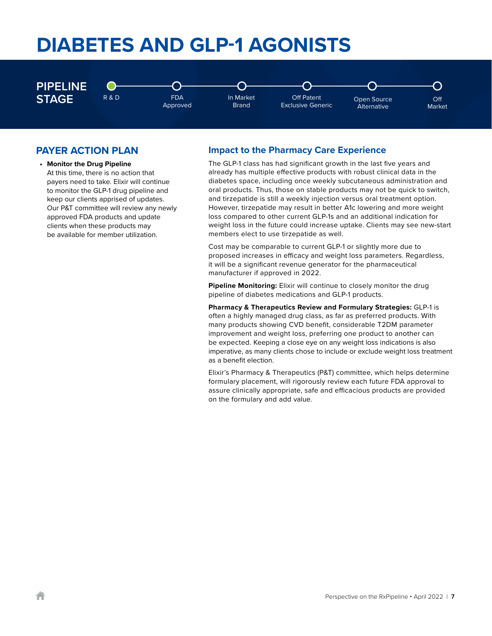

#### **PAYER ACTION PLAN**

**• Monitor the Drug Pipeline** At this time, there is no action that payers need to take. Elixir will continue to monitor the GLP-1 drug pipeline and keep our clients apprised of updates. Our P&T committee will review any newly approved FDA products and update clients when these products may be available for member utilization.

#### **Impact to the Pharmacy Care Experience**

The GLP-1 class has had significant growth in the last five years and already has multiple effective products with robust clinical data in the diabetes space, including once weekly subcutaneous administration and oral products. Thus, those on stable products may not be quick to switch, and tirzepatide is still a weekly injection versus oral treatment option. However, tirzepatide may result in better A1c lowering and more weight loss compared to other current GLP-1s and an additional indication for weight loss in the future could increase uptake. Clients may see new-start members elect to use tirzepatide as well.

Cost may be comparable to current GLP-1 or slightly more due to proposed increases in efficacy and weight loss parameters. Regardless, it will be a significant revenue generator for the pharmaceutical manufacturer if approved in 2022.

**Pipeline Monitoring:** Elixir will continue to closely monitor the drug pipeline of diabetes medications and GLP-1 products.

**Pharmacy & Therapeutics Review and Formulary Strategies:** GLP-1 is often a highly managed drug class, as far as preferred products. With many products showing CVD benefit, considerable T2DM parameter improvement and weight loss, preferring one product to another can be expected. Keeping a close eye on any weight loss indications is also imperative, as many clients chose to include or exclude weight loss treatment as a benefit election.

Elixir's Pharmacy & Therapeutics (P&T) committee, which helps determine formulary placement, will rigorously review each future FDA approval to assure clinically appropriate, safe and efficacious products are provided on the formulary and add value.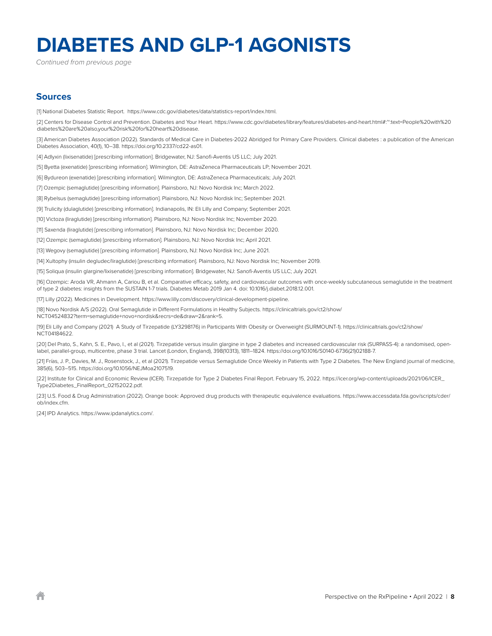*Continued from previous page*

#### **Sources**

[1] National Diabetes Statistic Report. https://www.cdc.gov/diabetes/data/statistics-report/index.html.

[2] Centers for Disease Control and Prevention. Diabetes and Your Heart. https://www.cdc.gov/diabetes/library/features/diabetes-and-heart.html#:~:text=People%20with%20 diabetes%20are%20also,your%20risk%20for%20heart%20disease.

[3] American Diabetes Association (2022). Standards of Medical Care in Diabetes-2022 Abridged for Primary Care Providers. Clinical diabetes : a publication of the American Diabetes Association, 40(1), 10–38. https://doi.org/10.2337/cd22-as01.

[4] Adlyxin (lixisenatide) [prescribing information]. Bridgewater, NJ: Sanofi-Aventis US LLC; July 2021.

[5] Byetta (exenatide) [prescribing information]. Wilmington, DE: AstraZeneca Pharmaceuticals LP; November 2021.

[6] Bydureon (exenatide) [prescribing information]. Wilmington, DE: AstraZeneca Pharmaceuticals; July 2021.

[7] Ozempic (semaglutide) [prescribing information]. Plainsboro, NJ: Novo Nordisk Inc; March 2022.

[8] Rybelsus (semaglutide) [prescribing information]. Plainsboro, NJ: Novo Nordisk Inc; September 2021.

[9] Trulicity (dulaglutide) [prescribing information]. Indianapolis, IN: Eli Lilly and Company; September 2021.

[10] Victoza (liraglutide) [prescribing information]. Plainsboro, NJ: Novo Nordisk Inc; November 2020.

[11] Saxenda (liraglutide) [prescribing information]. Plainsboro, NJ: Novo Nordisk Inc; December 2020.

[12] Ozempic (semaglutide) [prescribing information]. Plainsboro, NJ: Novo Nordisk Inc; April 2021.

[13] Wegovy (semaglutide) [prescribing information]. Plainsboro, NJ: Novo Nordisk Inc; June 2021.

[14] Xultophy (insulin degludec/liraglutide) [prescribing information]. Plainsboro, NJ: Novo Nordisk Inc; November 2019.

[15] Soliqua (insulin glargine/lixisenatide) [prescribing information]. Bridgewater, NJ: Sanofi-Aventis US LLC; July 2021.

[16] Ozempic: Aroda VR, Ahmann A, Cariou B, et al. Comparative efficacy, safety, and cardiovascular outcomes with once-weekly subcutaneous semaglutide in the treatment of type 2 diabetes: insights from the SUSTAIN 1-7 trials. Diabetes Metab 2019 Jan 4. doi: 10.1016/j.diabet.2018.12.001.

[17] Lilly (2022). Medicines in Development. https://www.lilly.com/discovery/clinical-development-pipeline.

[18] Novo Nordisk A/S (2022). Oral Semaglutide in Different Formulations in Healthy Subjects. https://clinicaltrials.gov/ct2/show/ NCT04524832?term=semaglutide+novo+nordisk&recrs=de&draw=2&rank=5.

[19] Eli Lilly and Company (2021) A Study of Tirzepatide (LY3298176) in Participants With Obesity or Overweight (SURMOUNT-1). https://clinicaltrials.gov/ct2/show/ NCT04184622.

[20] Del Prato, S., Kahn, S. E., Pavo, I., et al (2021). Tirzepatide versus insulin glargine in type 2 diabetes and increased cardiovascular risk (SURPASS-4): a randomised, openlabel, parallel-group, multicentre, phase 3 trial. Lancet (London, England), 398(10313), 1811–1824. https://doi.org/10.1016/S0140-6736(21)02188-7.

[21] Frías, J. P., Davies, M. J., Rosenstock, J., et al (2021). Tirzepatide versus Semaglutide Once Weekly in Patients with Type 2 Diabetes. The New England journal of medicine, 385(6), 503–515. https://doi.org/10.1056/NEJMoa2107519.

[22] Institute for Clinical and Economic Review (ICER). Tirzepatide for Type 2 Diabetes Final Report. February 15, 2022. https://icer.org/wp-content/uploads/2021/06/ICER\_ Type2Diabetes\_FinalReport\_02152022.pdf.

[23] U.S. Food & Drug Administration (2022). Orange book: Approved drug products with therapeutic equivalence evaluations. https://www.accessdata.fda.gov/scripts/cder/ ob/index.cfm.

[24] IPD Analytics. https://www.ipdanalytics.com/.